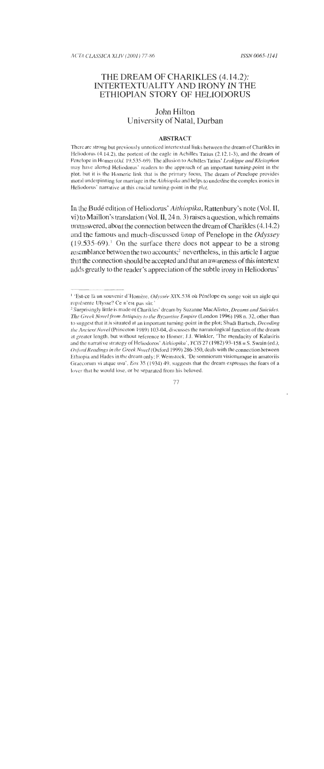## THE DREAM OF CHARIKLES (4.14.2): INTERTEXTUALITY AND IRONY IN THE ETHIOPIAN STORY OF HELIODORUS

## John Hilton University of Natal, Durban

## **ABSTRACT**

There are strong but previously unnoticed intertextual links between the dream of Charikles in Helicdorus (4.14.2). the portent **of** the eagle in Achilles Tatius (2.12.1-3), and the dream of Penelope in Homer (Od. 19.535-69). The allusion to Achilles Tatius' Leukippe and Kleitophon may have alerted Hcliodorus' readers to the approach of an important turning-point in the plot, but it is the Homeric link that is the primary focus. The dream of Penelope provides moral underpinning for marriage in the *Aithiopika* and helps to underline the complex ironics in Heliodorus' narrative at this crucial turning-point in the plot.

In the Budé edition of Heliodorus' *Aithiopika*, Rattenbury's note (Vol. II, vi) to Maillon's translation (Vol. II,  $24$  n. 3) raises a question, which remains unanswered, about the connection between the dream of Charikles (4.14.2) and the famous and much-discussed *ύπαρ* of Penelope in the *Odyssey* (19.535-69).' On the surface there does not appear to be a strong resemblance between the two accounts;<sup>2</sup> nevertheless, in this article I argue that the connection should be accepted and that an awareness of this intertext adds greatly to the reader's appreciation of the subtle irony in Heliodorus'

<sup>&</sup>lt;sup>1</sup>' Est-ce là un souvenir d'Homère, Odyssée XIX.538 où Pénélope en songe voit un aigle qui représente Ulysse? Ce n'est pas sûr.'

<sup>&</sup>lt;sup>2</sup> Surprisingly little is made of Charikles' dream by Suzanne MacAlister, *Dreams and Suicides*. The Greek Novel from Antiquity to the Byzantine Empire (London 1996) 198 n. 32, other than to suggest that it is situated at an important turning-point in the plot; Shadi Bartsch, **Decoding rhc, Atwirrir Novel** (Princeton 1989) 103-04, discusxes the narratological function of the dream at greater length, but without reference to Horner; **J.J.** Winkler. 'The mendacity of Kalasiris and the narrative stratcgy of Heliodoros' **Aithiopiku', YClS** 27 (1982) 93- 158 = S. Swain (ed.), **C)r/i)rc/Keodings in rho Greek Novel** (Oxford 1999) 286-350, deals with the connection between Ethiopia and Hades in the dream only; F. Weinstock, 'De somniorum visionumque in amatoriis Graecorum vi atque usu', Eos 35 (1934) 49, suggests that the dream expresses the fears of a lover that he would lose. or be separated from his beloved.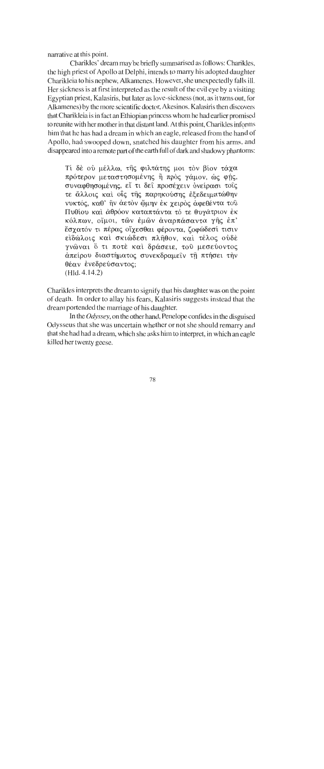narrative at this point.

Charikles' dream may be briefly summarised as follows: Charikles, the high priest of Apollo at Delphi, intends to marry his adopted daughter Charikleia to his nephew, Alkamenes. However, she unexpectedly falls ill. Her sickness is at first interpreted as the result of the evil eye by a visiting Egyptian priest, Kalasiris, but later as love-sickness (not, as it turns out, for Alkamenes) by the more scientific doctor, Akesinos. Kalasiris then discovers that Charikleia is in fact an Ethiopian princess whom he had earlier promised to reunite with her mother in that distant land. At this point, Charikles informs him that he has had a dream in which an eagle, released from the hand of Apollo, had swooped down, snatched his daughter from his arms, and disappeared into a remote part of the earth full of dark and shadowy phantoms:

Τί δέ ού μέλλω, της φιλτάτης μοι τον βίον τάχα πρότερον μεταστησομένης ή πρὸς γάμον, ως φής, συναφθησομένης, εί τι δεί προσέχειν ονείρασι τοίς τε άλλοις και οις της παρηκούσης έξεδειματώθην νυκτός, καθ' ην άετον ώμην έκ χειρος άφεθέντα του Πυθίου καὶ ἀθρόον καταπτάντα τό τε θυγάτριον ἐκ κόλπων, οἴμοι, τῶν ἐμῶν ἀναρπάσαντα γῆς ἐπ' έσχατόν τι πέρας οἴχεσθαι φέροντα, ζοφώδεσί τισιν είδώλοις και σκιώδεσι πλήθον, και τέλος ούδε γνώναι ὄ τι ποτέ καί δράσειε, του μεσεύοντος άπείρου διαστήματος συνεκδραμεΐν τη πτήσει την θέαν ένεδρεύσαντος;  $(Hld.4.14.2)$ 

Charikles interprets the dream to signify that his daughter was on the point of death. In order to allay his fears, Kalasiris suggests instead that the dream portended the marriage of his daughter.

In the *Odyssey,* on the other hand, Penelope confides in the disguised Odysseus that she was uncertain whether or not she should remarry and that she had had a dream, which she asks him to interpret, in which an eagle killed her twenty geese.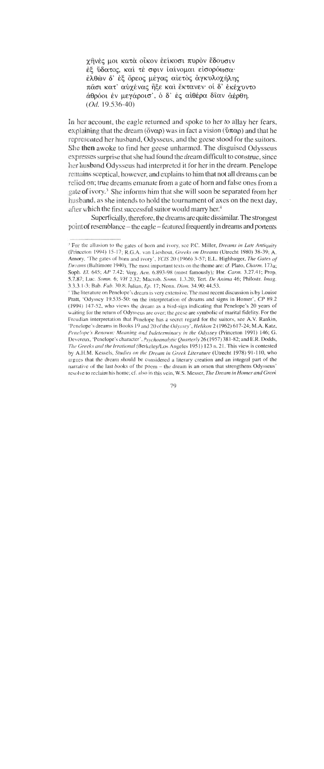γηνές μοι κατά οίκον εείκοσι πυρόν έδουσιν έξ ύδατος, καί τέ σφιν ιαίνομαι εισορόωσα· έλθών δ' έξ όρεος μέγας αιετός άγκυλοχήλης πάσι κατ' αύγένας ήξε και έκτανεν οί δ' έκέγυντο άθρόοι έν μεγάροισ', ο δ' ές αίθέρα δίαν άέρθη.  $(Od. 19.536-40)$ 

In her account, the eagle returned and spoke to her to allay her fears, explaining that the dream ( $\ddot{\text{o}}$ v $\alpha$  $\rho$ ) was in fact a vision ( $\ddot{\text{o}}$  $\pi \alpha \rho$ ) and that he represented her husband, Odysseus, and the geese stood for the suitors. She then awoke to find her geese unharmed. The disguised Odysseus expresses surprise that she had found the dream difficult to construe, since her husband Odysseus had interpreted it for her in the dream. Penelope remains sceptical, however, and explains to him that not all dreams can be relied on; true dreams emanale from a gate of horn and false ones from a gate of ivory.<sup>3</sup> She informs him that she will soon be separated from her husband, as she intends to hold the tournament of axes on the next day, after which the first successful suitor would marry her.<sup>4</sup>

Superficially, therefore, the dreams are quite dissimilar. The strongest **point** of resemblance - the eagle - featured frequently in dreams and portents

<sup>&</sup>lt;sup>\*</sup> For the allusion to the gates of horn and ivory, see P.C. Miller, *Dreams in Late Antiquity* (Princeton (994) 15-17; R.G.A. van Lieshout, *Greeks on Dreams* (Utrecht 1980) 38-39; A. Aniory, 'Thc gates of horn and ivory', *YClS* 20 (1966) 3-57; E.L. Highbarger, *The Gates* of *Dreams* (Baltimore 1940). The most important texts on the theme are: cf. Plato, *Charm.* 173a; Soph. *El.* 645; *AP* 7.42; Verg. *Aen.* 6.893-98 (most famously); Hor. *Curtn.* 3.27.41; Prop. 5.7.87; Luc. *Soma.* 6; *VH* 2.32; Macrob. *Sotnn.* 1.1.20; Tert. *De Animu* 46; Philostr. *Itnug.*  3.3.3.1-3: Bab. *Fab.* 30.8; Julian, *Ep.* 17; Nonn. *I)ion.* 34.90; 44.53.

<sup>&#</sup>x27;The literature on Penelope's dream is very extensive. The most recent discussion is **by** Louise Pratl, 'Odyssey 19.535-50: on the interpretation of drearns and signs in Homer', CP 89.2 (1994) 147-52, who views the dremi as a bird-sign indicating that Penelope's 20 years of waiting for the return of Odysseus are over: the gecsc are symbolic of marital fidelity. For the Freudian interpretation that Penelope has a secret regard for the suitors, see A.V. Rankin, 'Pcnelope's dreams in Books 19 and 20of the *Odyssq', Helikon* 2 (1962) 617-24; M.A. Katz, Penelope's Renown: Meaning and Indeterminacy in the Odyssey (Princeton 1991) 146; G. Devereux, 'Penelope's character', *Psychoanalytic Quarterly* 26 (1957) 381-82; and E.R. Dodds, *The Greeks and the Irrational* (Berkeley/Los Angeles 1951) 123 n. 21. This view is contested by A.H.M. Kessels, *Studies on the Dream in Greek Literature* (Utrecht 1978) 91-110, who argues that the dream should be considered a literary creation and an integral part of the narrative of the last books of the poem - the dream is an omen that strengthens Odysseus' resolve to reclaim his home; cf. also in this vein, W.S. Messer, *The Dreum in HomerandGreek*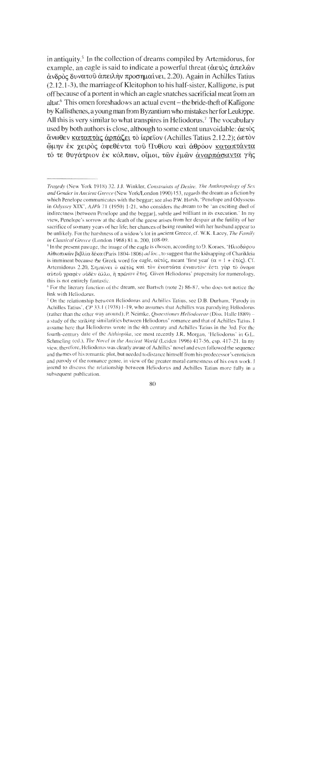in antiquity.<sup>5</sup> In the collection of dreams compiled by Artemidorus, for example, an eagle is said to indicate a powerful threat ( $\alpha \in \hat{\alpha}$   $\alpha \in \hat{\alpha}$ )  $\dot{\alpha}$ νδρὸς δυνατοῦ ἀπειλὴν προσημαίνει, 2.20). Again in Achilles Tatius (2.12.1 -3), the marriage of Kleitophon to his half-sister, Kalligone, is put off because of a portent in which an eagle snatches sacrificial meat from an altar.<sup>6</sup> This omen foreshadows an actual event – the bride-theft of Kalligone by Kallisthenes, a young man from Byzantium who mistakes her for Leukippe. All this is very similar to what transpires in Heliodorus.<sup>7</sup> The vocabulary used by both authors is close, although to some extent unavoidable:  $\alpha \epsilon \tau \alpha \zeta$  $\alpha$ νωθεν καταπτάς άρπάζει τὸ ιερείον (Achilles Tatius 2.12.2); αετὸν ώμην έκ χειρός άφεθέντα του Πυθίου και άθρόον καταπτάντα τό τε θυγάτριον έκ κόλπων, οἴμοι, των έμων άναρπάσαντα γής

*Tragedy* (New York 1918) 32. J.J. Winkler, *Constraints of Desire. The Anthropology of Sex and Gender in Arzcient Greece* (New York/London 1990) 153, regards the dream as a fiction by which Penelope communicates with the beggar; see also P.W. Harsh, 'Penelope and Odysscus in Odyssey XIX', *AJPh* 71 (1950) 1-21, who considers the dream to be 'an exciting duel of indirectness (between Penelope and the beggar), subtle and brilliant in its execution. In my vicw, Penelope's sorrow at the death of the geese arises from her despair at the futility of her sacrifice of so many years of her life; her chances of being reunited with her husband appear to be unlikely. For the harshness of a widow's lot in ancient Greece, cf. W.K. Lacey, *The Family in Classical Greece* (London 1968) 81 n. 200, 108-09.

<sup>&</sup>lt;sup>5</sup> In the present passage, the image of the eagle is chosen, according to D. Koraes, 'H $\lambda$ to $\delta\omega$ pou A<sup>†</sup>θιοπικών βιβλία δέκα (Paris 1804-1806) *ad loc.*, to suggest that the kidnapping of Charikleia is imminent because the Greek word for eagle,  $\alpha \neq \alpha \in \mathcal{C}$ , meant 'first year' ( $\alpha = 1 + \hat{\epsilon} \tau \circ \zeta$ ). Cf. Artemidorus 2.20, Σημαίνει ό αέτός και τον ενεστώτα ενιαυτόν έστι γαρ το όνομα αύτου γραφέν ούδεν άλλο, η πρώτον έτος. Given Heliodorus' propensity for numerology, this is not entirely fantastic.

 $\degree$  For the literary function of the dream, see Bartsch (note 2) 86-87, who does not notice the link with Hcliodorus.

<sup>&#</sup>x27; On the rclationship between Hcliodorus and Achilles Tatius, see D.B. Durham, 'Parody in Achilles Tatius', CP 33.1 (1938) 1-19, who assumes that Achilles was parodying Heliodorus (rather than the other way around); P. Neimke, *Quaestiones Heliodoreae* (Diss. Halle 1889) a study of the striking similarities between Heliodorus' romance and that of Achilles Tatius. I assume here that Heliodorus wrote in thc 4th century and Achilles Tatius in the 3rd. For thc fourth-century date of the *Aithiopika*, see most recently J.R. Morgan, 'Heliodorus' in G.L. Schmeling (cd.), *The Novel in the Ancient World* (Leiden 1996) 417-56, esp. 417-21. In my view, therefore, Heliodorus was clearly aware of Achilles' novel and even followed the sequence and themes of his romantic plot, but needed to distance himself from his predecessor's eroticism and parody of the romance genre, in view of the greater moral earnestness of his own work. **J** intcnd to discuss the rclationship between Heliodorus and Achilles Tatius more fully in a subsequent publication.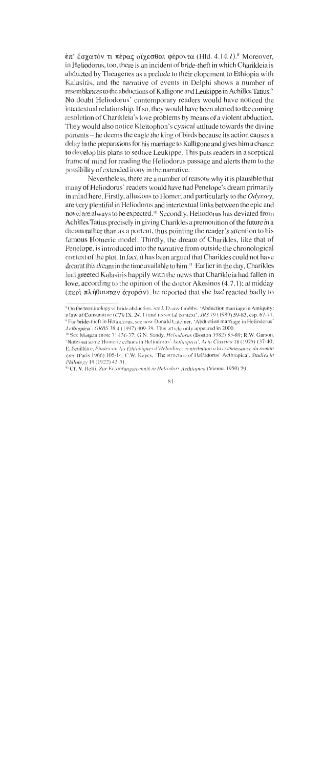επ' έσγατόν τι πέρας οίγεσθαι φέροντα (Hld. 4.14.1).<sup>8</sup> Moreover, in Heliodorus, too, there is an incident of bride-theft in which Charikleia is abducted by Theagenes as a prelude to their elopement to Ethiopia with Kalasiris, and the narrative of events in Delphi shows a number of resemblances to the abductions of Kalligone and Leukippe in Achilles Tatius? No doubt Heliodorus' contemporary readers would have noticed the intertextual relationship. If so, they would have been alerted to the coming resolution of Charikleia's love problems by means of a violent abduction. They would also notice Kleitophon's cynical attitude towards the divine portents -he deems the eagle the king of birds because its action causes a delay in the preparations for his marriage to Kalligone and gives him a chance to develop his plans to seduce Leukippe. This puts readers in a sceptical frame of mind for reading the Heliodorus passage and alerts them to the possibility of extended irony in the narrative.

Nevertheless, there are a number of reasons why it is plausible that many of Heliodorus' readers would have had Penelope's dream primarily in mind here. Firstly, allusions to Homer, and particularly to the *Odyssey*, are very plentiful in Heliodorus and intertextual links between the epic and novel are always to be expected.<sup>10</sup> Secondly, Heliodorus has deviated from Achilles Tatius precisely in giving Charikles a premonition of the future in a dream rather than as a portent, thus pointing the reader's attention to his famous Homeric model. Thirdly, the dream of Charikles, like that of Penelope, is introduced into the narrative from outside the chronological context of the plot. In fact. it has been argucd that Charikles could not have dreamt this dream in the time available to him." Earlier in the day, Charikles had greeted Kalasiris happily with the news that Charikleia had fallen in love, according to the opinion of the doctor Akesinos (4.7.1); at midday **(xepi** nhfi0ouoav &yop&v), he reported that she had reacted badly to -- - - - .

<sup>&</sup>lt;sup>8</sup> On the terminology of bride abduction, see J. Evans-Grubbs, 'Abduction marriage in Antiquity: a law ol'constantinc *(CTIr* IX. 24. I) and its social context', JRS 79 (1989) 59-83, esp. 67-7 **1.**  ' For bride-thel't in Heliodorus, scc now Donald I>a[ciner, 'Abduction marriage in Heliodorus' *Aethiopica', GRBS 38.4 (1997) 409-39. This article only appeared in 2000.* 

<sup>&</sup>lt;sup>10</sup> See Morgan (note 7) 436-37: G.N. Sandy, *Heliodorus* (Boston 1982) 83-89; R.W. Garson, \*Notes on some Homeric echoes in Heliodorus' Aethiopica', Acta Classica 18 (1975) 137-40; E. Feuillâtre, Études sur les Éthiopiques d'Héliodore: contribution a la connaissance du roman grec (Paris 1966) 105-14; C.W. Keyes, 'The structure of Heliodorus' Aethiopica', *Studies in Plrilolo~q~* 19 (1922) 42-5 I .

<sup>&</sup>lt;sup>**81</sup> Cf. V.** Hefti. *Zur Erzahlungstechnik in Heliodors Aethiopica* (Vienna 1950) **79.**</sup>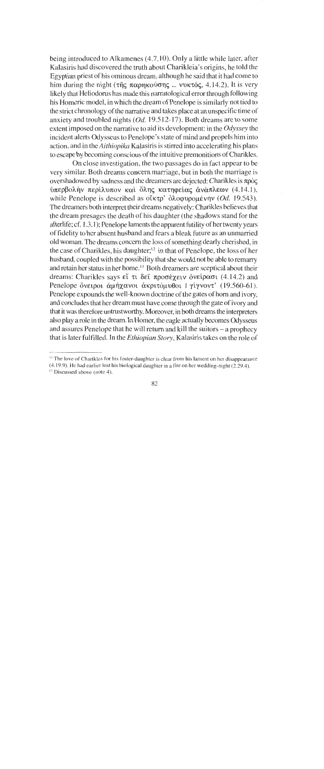being introduced to Alkamenes (4.7.10). Only a little while later, after Kalasiris had discovered the truth about Charikleia's origins, he told the Egyptian priest of his ominous dream, although he said that it had come to him during the night ( $\tau$  $\hat{\eta}$  $\varsigma$   $\pi \alpha \rho \eta \kappa \omega \sigma \eta \varsigma$  ... vv $\kappa \tau \omega \varsigma$ , 4.14.2). It is very likely that Heliodorus has made this narratological error through following his Homeric model, in which the dream of Penelope is similarly not tied to the strict chronology of the narrative and takes place at an unspecific time of anxiety and troubled nights (Od. 19.5 12-17). Both dreams are to some extent imposed on the narrative to aid its development: in the Odyssey the incident alerts Odysseus to Penelope's state of mind and propels him into action, and in the *Aithiopika* Kalasiris is stirred into accelerating his plans to escape by becoming conscious of the intuitive premonitions of Charikles.

On close investigation, the two passages do in fact appear to be very similar. Both dreams concern marriage, but in both the marriage is overshadowed by sadness and the dreamers are dejected: Charikles is *npbq*   $\frac{\partial \pi}{\partial \alpha}$ θολήν περίλυπον και όλης κατηφείας ανάπλεων (4.14.1), while Penelope is described as οἴκτρ' ὀλοφυρομένην *(Od.* 19.543). The dreamers both interpret their dreams negatively: Charikles believes that the dream presages the death of his daughter (the shadows stand for the afterlife; cf. **1.3.1** ); Penelope laments the apparent futility of her twenty **years**  of fidelity to her absent husband and fears a bleak future as an unmarried old woman. The dreams concern the loss of something dearly cherished, in the case of Charikles, his daughter;<sup>12</sup> in that of Penelope, the loss of her husband, coupled with the possibility that she would not be able to remarry and retain her status in her home.<sup>13</sup> Both dreamers are sceptical about their dreams: Charikles says  $\epsilon\tilde{i}$  τι δε $\tilde{i}$  προσέγειν όνείρασι (4.14.2) and Penelope ővetpot ἀμήχανοι ἀκριτόμυθοι | γίγνοντ' (19.560-61). Penelope expounds the well-known doctrine of the gates of horn and ivory, and concludes that her dream must have come through the gate of ivory and that it was therefore untrustworthy. Moreover, in both dreams the interpreters also play **a** role in the dream. In Homer, the eagle actually becomes Odysseus and assures Penelope that he will return and kill the suitors  $-$  a prophecy that is later fulfilled. In the **Ethiopian Story,** Kalasiris takes on the role of

<sup>&</sup>lt;sup>12</sup> The love of Charikles for his foster-daughter is clear from his lament on her disappearance **(4.19.9). He had earlier lost his biological daughter in a fire on her wedding-night (2.29.4).** 

<sup>&</sup>lt;sup>13</sup> Discussed above (note 4).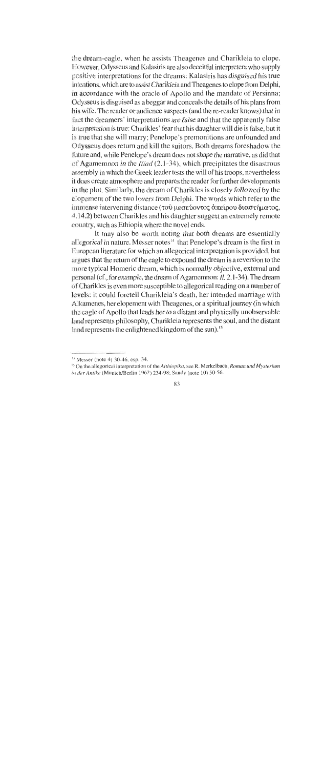the dream-eagle, when he assists Theagenes and Charikleia to elope. However, Odysseus and Kalasiris are also deceitful interpreters who supply positive interpretations for the dreams: Kalasiris has disguised his true intentions, which are to assist Charikleia and Theagenes to elope from Delphi, in accordance with the oracle of Apollo and the mandate of Persinna; Odysseus is disguised as a beggar and conceals the details of his plans from his wife. The reader or audience suspects (and the re-reader knows) that in fact the dreamers' interpretations are false and that the apparently false interpretation is true: Charikles' fear that his daughter will die is false, but it is true that she will marry: Penelope's premonitions are unfounded and Odysseus does return and kill the suitors. Both dreams foreshadow the future and, while Penelope's dream does not shape the narrative, as did that of Agamemnon in the Iliad (2.1 -34), which precipitates the disastrous assembly in which the Greek leader tests the will of his troops, nevertheless it does create atmosphere and prepares the reader for further developments in the plot. Similarly, the dream of Charikles is closely followed by the elopement of the two lovers from Delphi. The words which refer to the immense intervening distance ( $\tau$ o  $\hat{v}$  μεσεύοντος άπείρου διαστήματος, 4.14.2) between Charikles and his daughter suggest an extremely remote country, such as Ethiopia where the novel ends.

It may also be worth noting that both dreams are essentially allegorical in nature. Messer notes<sup> $14$ </sup> that Penelope's dream is the first in European literature for which an allegorical interpretation is provided, but argues that the return of the eagle to expound the dream is a reversion to the more typical Homeric dream, which is normally objective, external and personal (cf., for example, the dream of Agamemnon: *Il.* 2.1-34). The dream of Charikles is even more susceptible to allegorical reading on a number of levels: it could foretell Charikleia's death, her intended marriage with Alkarnenes, her elopement with Theagenes, or a spiritual journey (in which the eagle of Apollo that leads her to a distant and physically unobservable land represents philosophy, Charikleia represents the soul, and the distant land represents the enlightened kingdom of the sun).<sup>15</sup>

**Messer (note 4) 30-46, esp. 34.** 

<sup>&</sup>lt;sup>15</sup> On the allegorical interpretation of the *Aithiopika*, see R. Merkelbach, *Roman und Mysterium in der Antike* (Munich/Berlin 1962) 234-98; Sandy (note 10) 50-56.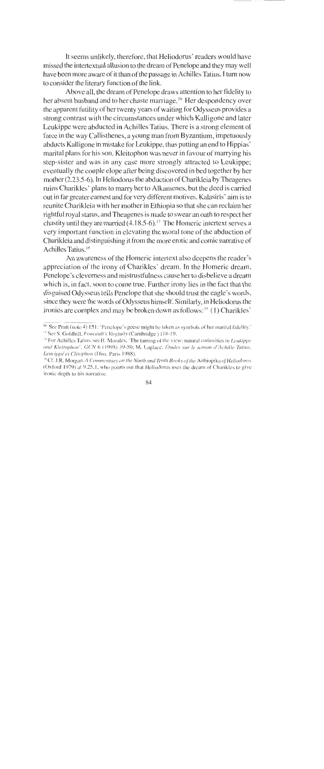It seems unlikely, therefore, that Heliodorus' readers would have missed the intertextual allusion to the dream of Penelope and they may well have been more aware of it than of the passage in Achilles Tatius. I turn now to consider the literary function of the link.

Above all, the dream of Penelope draws attention to her fidelity to her absent husband and to her chaste marriage.<sup>16</sup> Her despondency over the apparent futility of her twenty years of waiting for Odysseus provides a strong contrast with the circumstances under which Kalligone and later Leukippe were abducted in Achilles Tatius. There is a strong element of farce in the way Callisthenes, a young man from Byzantium, impetuously abducts Kalligone in mistake for Leukippe, thus putting an end to Hippias' marital plans for his son. Kleitophon was never in favour of marrying his step-sister and was in any case more strongly attracted to Leukippe; eventually the couple elope after being discovered in bed together by her mother  $(2.23.5-6)$ . In Heliodorus the abduction of Charikleia by Theagenes ruins Charikles' plans to many her to Alkamenes, but the deed is carried out in far greater earnest and for very different motives. Kalasiris' aim is to reunite Charikleia with her mother in Ethiopia so that she can reclaim her rightful royal status, and Theagenes is made to swear an oath to respect her chastity until they are married  $(4.18.5-6)$ .<sup>17</sup> The Homeric intertext serves a very important function in elevating the moral tone of the abduction of Charikleia and distinguishing it from the more erotic and comic narrative of Achilles Tatius.<sup>18</sup>

An awareness of the Homeric intertext also deepens the reader's appreciation of the irony of Charikles' dream. In the Homeric dream. Penelope's cleverness and mistrustfulness cause her to disbelieve a dream which is, in fact, soon to come true. Further irony lies in the fact that the disguised Odysseus tells Penelope that she should trust the eagle's words, since they were the words of Odysseus himself. Similarly, in Heliodorus the ironies are complex and may be broken clown as follows:'" **(1)** Charikles'

<sup>&</sup>lt;sup>16</sup> See Pratt (note 4) 151: 'Penelope's geese might be taken as symbols of her marital fidelity.' <sup>17</sup> See S. Goldhill, *Foucault's Virginity* (Cambridge ) 118-19,

 $T^*$  For Achilles Tatius, see H. Morales, 'The taming of the vicw: natural curiosities in *Leukippe* and Kleitophon', GCN 6 (1995) 39-50; M. Laplace, Études sur le roman d'Achille Tatius, Leucippé et Clitophon (Diss. Paris 1988).

<sup>&</sup>lt;sup>19</sup> Cf. J.R. Morgan, *A Commentary on the Ninth and Tenth Books of the Aithiopika of Heliodoros* (Oxford 1979) at  $9.25.1$ , who points out that Heliodorus uses the dream of Charikles to give ironic depth to his narrative.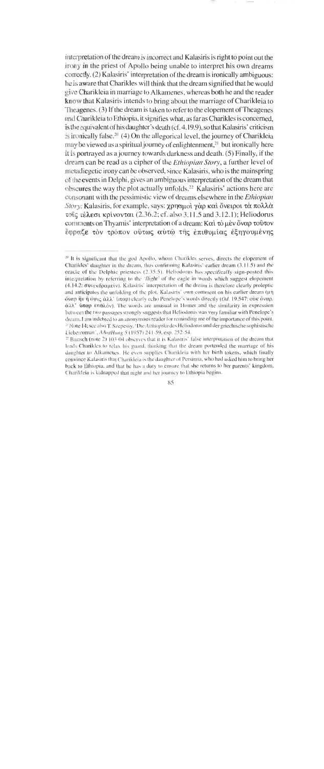interpretation of the dream is incorrect and Kalasiris is right to point out the irony in the priest of Apollo being unable to interpret his own dreams correctly. (2) Kalasiris' interpretation of the dream is ironically ambiguous: he is aware that Charikles will think that the dream signified that he would give Charikleia in marriage to Alkamenes, whereas both he and the reader know that Kalasiris intends to bring about the marriage of Charikleia to Theagenes. (3) If the dream is taken to refer to the elopement of Theagenes and Charikleia to Ethiopia, it signifies what, as far as Charikles isconcemed, is the equivalent of his daughter's death (cf. 4.19.9), so that Kalasiris' criticism is ironically false.<sup>20</sup> (4) On the allegorical level, the journey of Charikleia may be viewed as a spiritual journey of enlightenment.<sup>21</sup> but ironically here it is portrayed as a journey towards darkness and death. *(5)* Finally, if the dream can be read as a cipher of the *Ethiopian Story*, a further level of metadiegetic irony can be observed, since Kalasiris, who is the mainspring of the events in Delphi, gives an ambiguous interpretation of the dream that obscures the way the plot actually unfolds.<sup>22</sup> Kalasiris' actions here are consonant with the pessimistic view of dreams elsewhere in the *Ethiopian* Story: Kalasiris, for example, says:  $\gamma$ ρησμοί γὰρ καὶ ὄνειροι τὰ πολλὰ τοίς τέλεσι κρίνονται (2.36.2; cf. also 3.11.5 and 3.12.1); Heliodorus comments on Thyamis' interpretation of a dream: K $\alpha$ ì τὸ μὲν ὄναρ τοῦτον Eφραζε τον τρόπον ούτως αύτω της επιθυμίας εξηγουμένης τέλεσι κρίνον<br>nents on Thyam<br>ιζε τὸν τρόπο<br>significant that the

<sup>&</sup>lt;sup>20</sup> It is significant that the god Apollo, whom Charikles serves, directs the elopement of Charikles' daughter in the dream, thus confirming Kalasiris' earlier dream (3.11.5) and the oracle of the Delphic priestess  $(2.35.5)$ . Heliodorus has specifically sign-posted this interpretation by rcl'erring to the 'flight' of the eagle in words which suggest elopement  $(4.14.2; \sigma$ vek $\delta$ <sub>p</sub> $\alpha$  $\mu$ <sub>E</sub> $\alpha$ ). Kalasiris' interpretation of the dream is therefore clearly proleptic and anticipates the unfolding of the plot. Kalasiris' own comment on his earlier dream  $(\mu)$ öναρ ήν ή όψις άλλ' *ύπαρ*) clearly echo Penclope's words directly (Od. 19.547: ούκ όναρ,  $\partial \lambda \lambda$ <sup>*'*</sup> δπαρ έσθλόν). The words are unusual in Homer and the similarity in expression between the two passages strongly suggests that Heliodorus was very familiar with Penelope's dream. I am indebted to an anonymous reader for reminding me of the importance of this point. <sup>21</sup> Note 14; see also T. Szepessy, 'Die *Aithiopika* des Heliodoros und der griechische sophistische Liebesroman', AAntHung 5 (1957) 241-59, esp. 252-54.

 $\frac{25}{12}$  Bartsch (note 2) 103-04 observes that it is Kalasiris' false interpretation of the dream that leads Charikles to relax his guard, thinking that the dream portended the marriage of his daughter to Alkamenes. He even supplies Charikleia with her birth tokens, which finally convince Kalasiris that Charikleia is the daughter of Persinna, who had asked him to bring her back to Ethiopia, and that he has a duty to ensure that she returns to her parents' kingdom. Charikleia is kidnapped that night and her journey to Ethiopia begins.